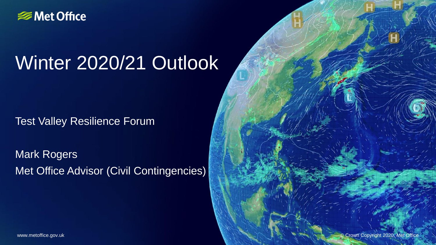

# Winter 2020/21 Outlook

**Test Valley Resilience Forum** 

Mark Rogers Met Office Advisor (Civil Contingencies)

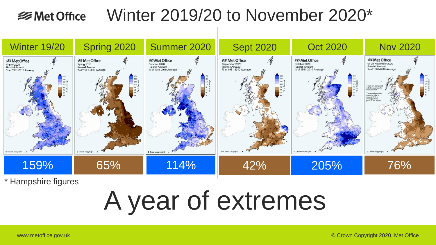#### Winter 2019/20 to November 2020\* **<del></del>** Met Office



\* Hampshire figures

# A year of extremes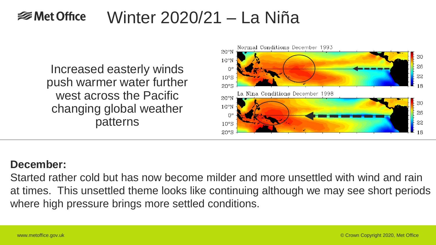#### Winter 2020/21 – La Niña  **⊗Met Office**

Increased easterly winds push warmer water further west across the Pacific changing global weather patterns



### **December:**

Started rather cold but has now become milder and more unsettled with wind and rain at times. This unsettled theme looks like continuing although we may see short periods where high pressure brings more settled conditions.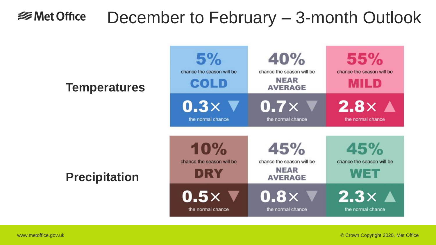#### December to February – 3-month Outlook **<del></del>** Met Office

## **Temperatures**

**Precipitation**

| 5%<br>chance the season will be<br>COLD | 40%<br>chance the season will be<br><b>NEAR</b><br><b>AVERAGE</b> | <b>55%</b><br>chance the season will be<br><b>MILD</b> |
|-----------------------------------------|-------------------------------------------------------------------|--------------------------------------------------------|
| 0.3 $\times$ V                          | $0.7\times$                                                       | $2.8\times$ $\blacktriangle$                           |
| the normal chance                       | the normal chance                                                 | the normal chance                                      |
| 10%<br>chance the season will be<br>DRY | 45%<br>chance the season will be<br><b>NEAR</b><br><b>AVERAGE</b> | 45%<br>chance the season will be<br>▞▞▎▆▆▆             |
| $0.5\times$                             | $0.8\times$                                                       | $2.3\times$ A                                          |
| the normal chance                       | the normal chance                                                 | the normal chance                                      |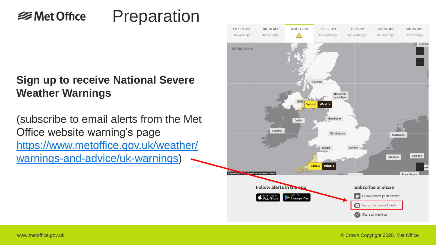#### Preparation  **⊗Met Office**

## **Sign up to receive National Severe Weather Warnings**

(subscribe to email alerts from the Met Office website warning's page https://www.metoffice.gov.uk/weather/ warnings-and-advice/uk-warnings)